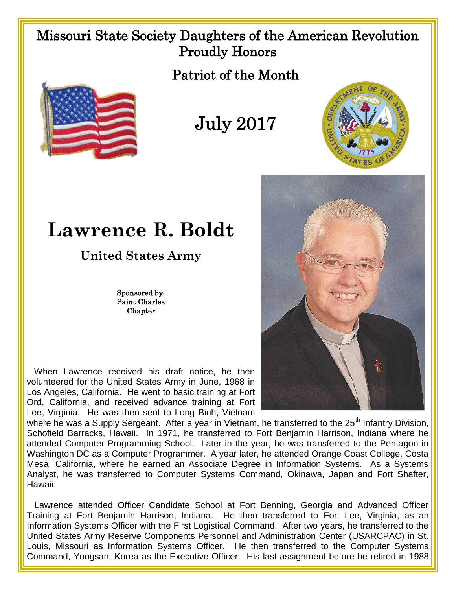## Missouri State Society Daughters of the American Revolution Proudly Honors

Patriot of the Month



July 2017



## **Lawrence R. Boldt**

**United States Army**

Sponsored by: Saint Charles Chapter

 When Lawrence received his draft notice, he then volunteered for the United States Army in June, 1968 in Los Angeles, California. He went to basic training at Fort Ord, California, and received advance training at Fort Lee, Virginia. He was then sent to Long Binh, Vietnam



where he was a Supply Sergeant. After a year in Vietnam, he transferred to the 25<sup>th</sup> Infantry Division. Schofield Barracks, Hawaii. In 1971, he transferred to Fort Benjamin Harrison, Indiana where he attended Computer Programming School. Later in the year, he was transferred to the Pentagon in Washington DC as a Computer Programmer. A year later, he attended Orange Coast College, Costa Mesa, California, where he earned an Associate Degree in Information Systems. As a Systems Analyst, he was transferred to Computer Systems Command, Okinawa, Japan and Fort Shafter, Hawaii.

 Lawrence attended Officer Candidate School at Fort Benning, Georgia and Advanced Officer Training at Fort Benjamin Harrison, Indiana. He then transferred to Fort Lee, Virginia, as an Information Systems Officer with the First Logistical Command. After two years, he transferred to the United States Army Reserve Components Personnel and Administration Center (USARCPAC) in St. Louis, Missouri as Information Systems Officer. He then transferred to the Computer Systems Command, Yongsan, Korea as the Executive Officer. His last assignment before he retired in 1988